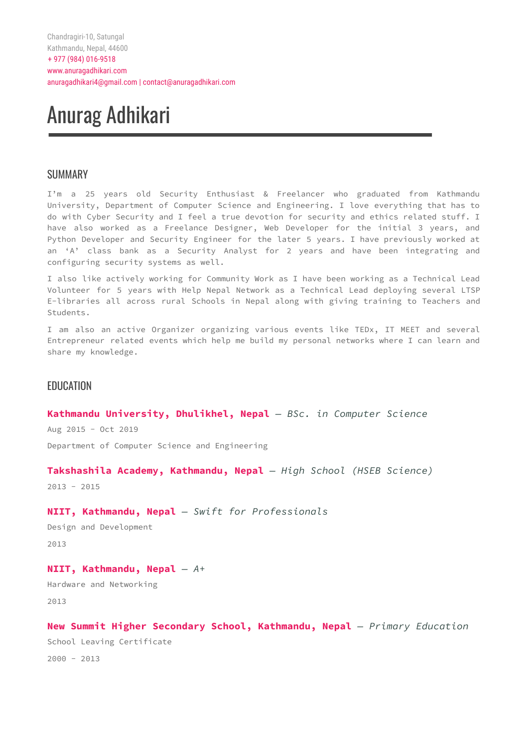# Anurag Adhikari

# SUMMARY

I'm a 25 years old Security Enthusiast & Freelancer who graduated from Kathmandu University, Department of Computer Science and Engineering. I love everything that has to do with Cyber Security and I feel a true devotion for security and ethics related stuff. I have also worked as a Freelance Designer, Web Developer for the initial 3 years, and Python Developer and Security Engineer for the later 5 years. I have previously worked at an 'A' class bank as a Security Analyst for 2 years and have been integrating and configuring security systems as well.

I also like actively working for Community Work as I have been working as a Technical Lead Volunteer for 5 years with Help Nepal Network as a Technical Lead deploying several LTSP E-libraries all across rural Schools in Nepal along with giving training to Teachers and Students.

I am also an active Organizer organizing various events like TEDx, IT MEET and several Entrepreneur related events which help me build my personal networks where I can learn and share my knowledge.

# EDUCATION

# **Kathmandu University, Dhulikhel, Nepal** *— BSc. in Computer Science*

Aug 2015 - Oct 2019

Department of Computer Science and Engineering

# **Takshashila Academy, Kathmandu, Nepal** *— High School (HSEB Science)*

2013 - 2015

# **NIIT, Kathmandu, Nepal** *— Swift for Professionals*

```
Design and Development
```
2013

# **NIIT, Kathmandu, Nepal** *— A+*

Hardware and Networking 2013

```
New Summit Higher Secondary School, Kathmandu, Nepal — Primary Education
School Leaving Certificate
2000 - 2013
```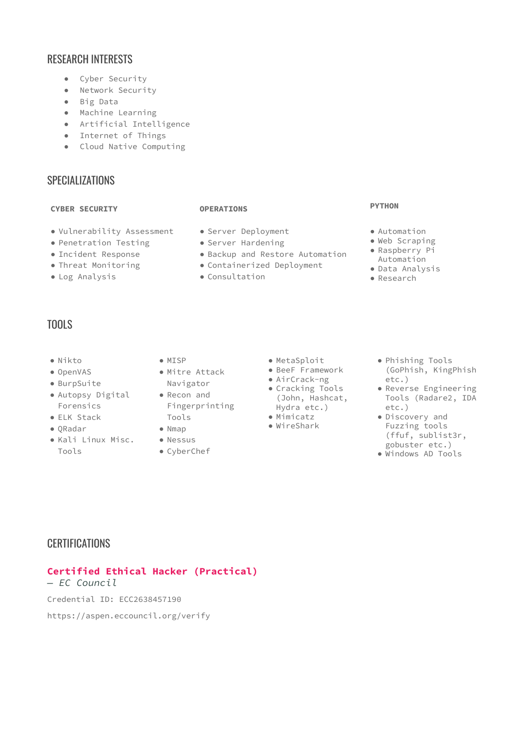# RESEARCH INTERESTS

- Cyber Security
- Network Security
- Big Data
- Machine Learning
- Artificial Intelligence
- Internet of Things
- Cloud Native Computing

# SPECIALIZATIONS

# **CYBER SECURITY OPERATIONS**

- Vulnerability Assessment
- Penetration Testing
- Incident Response
- Threat Monitoring
- Log Analysis

- Server Deployment
- Server Hardening
- Backup and Restore Automation
- Containerized Deployment
- Consultation

#### **PYTHON**

- Automation
- Web Scraping
- Raspberry Pi Automation
- Data Analysis
- Research

# TOOLS

- Nikto
- OpenVAS
- BurpSuite
- Autopsy Digital Forensics
- ELK Stack
- QRadar
- Kali Linux Misc. Nessus Tools
- MISP
- Mitre Attack Navigator
	- Fingerprinting
	-
	-
	- CyberChef
- MetaSploit
- BeeF Framework
- AirCrack-ng
- Cracking Tools
- (John, Hashcat, Hydra etc.) ● Mimicatz
- WireShark
- Phishing Tools (GoPhish, KingPhish etc.)
- Reverse Engineering Tools (Radare2, IDA etc.)
- Discovery and Fuzzing tools (ffuf, sublist3r, gobuster etc.)
- Windows AD Tools

# **CERTIFICATIONS**

# **Certified Ethical Hacker (Practical)**

*— EC Council*

Credential ID: ECC2638457190

https://aspen.eccouncil.org/verify

- Recon and Tools
- Nmap
	-
	-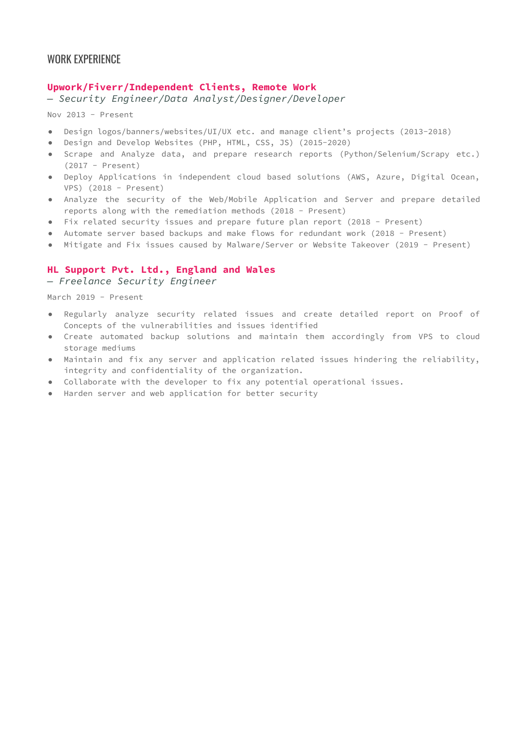# **Upwork/Fiverr/Independent Clients, Remote Work**

*— Security Engineer/Data Analyst/Designer/Developer*

Nov 2013 - Present

- Design logos/banners/websites/UI/UX etc. and manage client's projects (2013-2018)
- Design and Develop Websites (PHP, HTML, CSS, JS) (2015-2020)
- Scrape and Analyze data, and prepare research reports (Python/Selenium/Scrapy etc.) (2017 - Present)
- Deploy Applications in independent cloud based solutions (AWS, Azure, Digital Ocean, VPS) (2018 - Present)
- Analyze the security of the Web/Mobile Application and Server and prepare detailed reports along with the remediation methods (2018 - Present)
- Fix related security issues and prepare future plan report (2018 Present)
- Automate server based backups and make flows for redundant work (2018 Present)
- Mitigate and Fix issues caused by Malware/Server or Website Takeover (2019 Present)

# **HL Support Pvt. Ltd., England and Wales**

*— Freelance Security Engineer*

March 2019 - Present

- Regularly analyze security related issues and create detailed report on Proof of Concepts of the vulnerabilities and issues identified
- Create automated backup solutions and maintain them accordingly from VPS to cloud storage mediums
- Maintain and fix any server and application related issues hindering the reliability, integrity and confidentiality of the organization.
- Collaborate with the developer to fix any potential operational issues.
- Harden server and web application for better security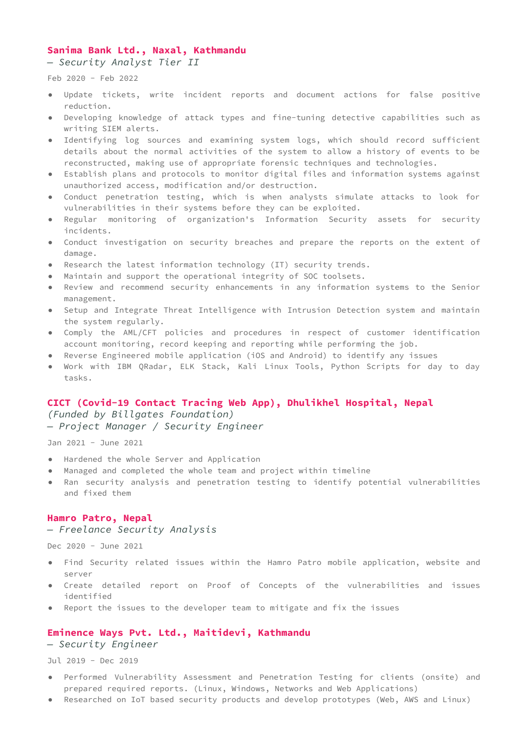# **Sanima Bank Ltd., Naxal, Kathmandu**

*— Security Analyst Tier II*

Feb 2020 - Feb 2022

- Update tickets, write incident reports and document actions for false positive reduction.
- Developing knowledge of attack types and fine-tuning detective capabilities such as writing SIEM alerts.
- Identifying log sources and examining system logs, which should record sufficient details about the normal activities of the system to allow a history of events to be reconstructed, making use of appropriate forensic techniques and technologies.
- Establish plans and protocols to monitor digital files and information systems against unauthorized access, modification and/or destruction.
- Conduct penetration testing, which is when analysts simulate attacks to look for vulnerabilities in their systems before they can be exploited.
- Regular monitoring of organization's Information Security assets for security incidents.
- Conduct investigation on security breaches and prepare the reports on the extent of damage.
- Research the latest information technology (IT) security trends.
- Maintain and support the operational integrity of SOC toolsets.
- Review and recommend security enhancements in any information systems to the Senior management.
- Setup and Integrate Threat Intelligence with Intrusion Detection system and maintain the system regularly.
- Comply the AML/CFT policies and procedures in respect of customer identification account monitoring, record keeping and reporting while performing the job.
- Reverse Engineered mobile application (iOS and Android) to identify any issues
- Work with IBM QRadar, ELK Stack, Kali Linux Tools, Python Scripts for day to day tasks.

#### **CICT (Covid-19 Contact Tracing Web App), Dhulikhel Hospital, Nepal**

*(Funded by Billgates Foundation) — Project Manager / Security Engineer*

Jan 2021 - June 2021

- Hardened the whole Server and Application
- Managed and completed the whole team and project within timeline
- Ran security analysis and penetration testing to identify potential vulnerabilities and fixed them

# **Hamro Patro, Nepal**

# *— Freelance Security Analysis*

Dec 2020 - June 2021

- Find Security related issues within the Hamro Patro mobile application, website and server
- Create detailed report on Proof of Concepts of the vulnerabilities and issues identified
- Report the issues to the developer team to mitigate and fix the issues

#### **Eminence Ways Pvt. Ltd., Maitidevi, Kathmandu**

*— Security Engineer*

Jul 2019 - Dec 2019

- Performed Vulnerability Assessment and Penetration Testing for clients (onsite) and prepared required reports. (Linux, Windows, Networks and Web Applications)
- Researched on IoT based security products and develop prototypes (Web, AWS and Linux)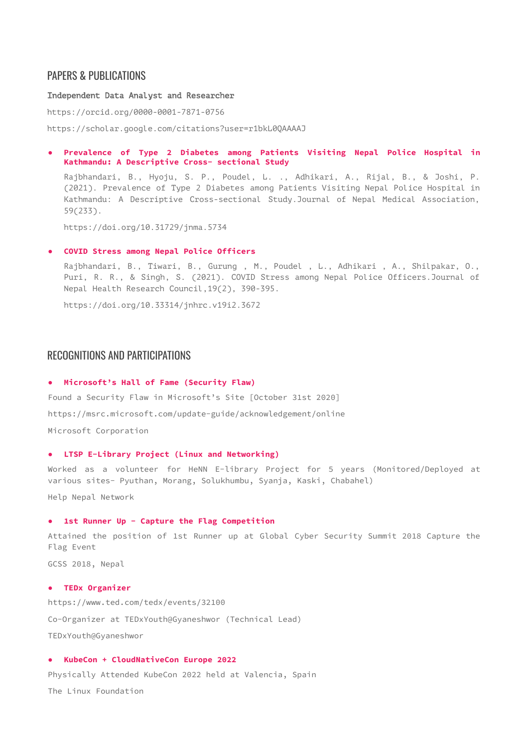# PAPERS & PUBLICATIONS

Independent Data Analyst and Researcher

https://orcid.org/0000-0001-7871-0756

https://scholar.google.com/citations?user=r1bkL0QAAAAJ

**● Prevalence of Type 2 Diabetes among Patients Visiting Nepal Police Hospital in Kathmandu: A Descriptive Cross- sectional Study**

Rajbhandari, B., Hyoju, S. P., Poudel, L. ., Adhikari, A., Rijal, B., & Joshi, P. (2021). Prevalence of Type 2 Diabetes among Patients Visiting Nepal Police Hospital in Kathmandu: A Descriptive Cross-sectional Study.Journal of Nepal Medical Association, 59(233).

https://doi.org/10.31729/jnma.5734

#### **● COVID Stress among Nepal Police Officers**

Rajbhandari, B., Tiwari, B., Gurung , M., Poudel , L., Adhikari , A., Shilpakar, O., Puri, R. R., & Singh, S. (2021). COVID Stress among Nepal Police Officers.Journal of Nepal Health Research Council,19(2), 390-395.

https://doi.org/10.33314/jnhrc.v19i2.3672

# RECOGNITIONS AND PARTICIPATIONS

#### **● Microsoft's Hall of Fame (Security Flaw)**

Found a Security Flaw in Microsoft's Site [October 31st 2020] https://msrc.microsoft.com/update-guide/acknowledgement/online Microsoft Corporation

#### **● LTSP E-Library Project (Linux and Networking)**

Worked as a volunteer for HeNN E-library Project for 5 years (Monitored/Deployed at various sites- Pyuthan, Morang, Solukhumbu, Syanja, Kaski, Chabahel)

Help Nepal Network

#### **● 1st Runner Up - Capture the Flag Competition**

Attained the position of 1st Runner up at Global Cyber Security Summit 2018 Capture the Flag Event

GCSS 2018, Nepal

#### **● TEDx Organizer**

https://www.ted.com/tedx/events/32100 Co-Organizer at TEDxYouth@Gyaneshwor (Technical Lead) TEDxYouth@Gyaneshwor

# **● KubeCon + CloudNativeCon Europe 2022**

Physically Attended KubeCon 2022 held at Valencia, Spain

The Linux Foundation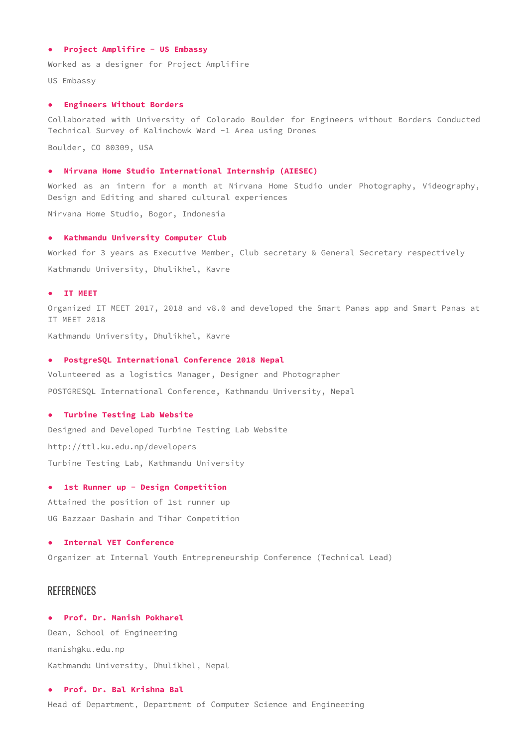#### **● Project Amplifire - US Embassy**

Worked as a designer for Project Amplifire

US Embassy

#### **● Engineers Without Borders**

Collaborated with University of Colorado Boulder for Engineers without Borders Conducted Technical Survey of Kalinchowk Ward -1 Area using Drones

Boulder, CO 80309, USA

#### **● Nirvana Home Studio International Internship (AIESEC)**

Worked as an intern for a month at Nirvana Home Studio under Photography, Videography, Design and Editing and shared cultural experiences

Nirvana Home Studio, Bogor, Indonesia

#### **● Kathmandu University Computer Club**

Worked for 3 years as Executive Member, Club secretary & General Secretary respectively Kathmandu University, Dhulikhel, Kavre

#### **● IT MEET**

Organized IT MEET 2017, 2018 and v8.0 and developed the Smart Panas app and Smart Panas at IT MEET 2018

Kathmandu University, Dhulikhel, Kavre

#### **● PostgreSQL International Conference 2018 Nepal**

Volunteered as a logistics Manager, Designer and Photographer POSTGRESQL International Conference, Kathmandu University, Nepal

#### **● Turbine Testing Lab Website**

Designed and Developed Turbine Testing Lab Website http://ttl.ku.edu.np/developers Turbine Testing Lab, Kathmandu University

#### **● 1st Runner up - Design Competition**

Attained the position of 1st runner up UG Bazzaar Dashain and Tihar Competition

#### **● Internal YET Conference**

Organizer at Internal Youth Entrepreneurship Conference (Technical Lead)

# **REFERENCES**

# **● Prof. Dr. Manish Pokharel**

Dean, School of Engineering manish@ku.edu.np Kathmandu University, Dhulikhel, Nepal

# **● Prof. Dr. Bal Krishna Bal**

Head of Department, Department of Computer Science and Engineering